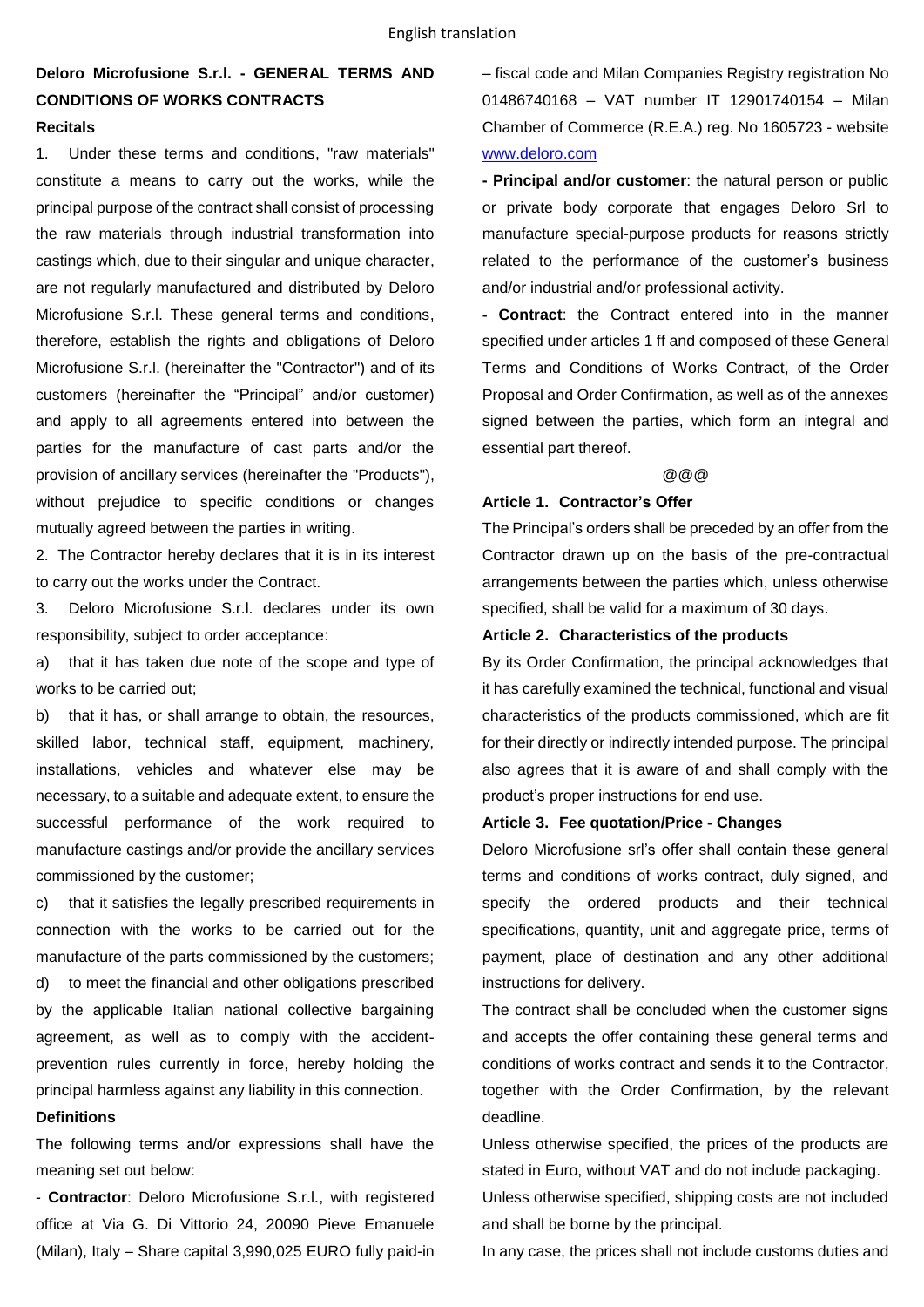# **Deloro Microfusione S.r.l. - GENERAL TERMS AND CONDITIONS OF WORKS CONTRACTS Recitals**

1. Under these terms and conditions, "raw materials" constitute a means to carry out the works, while the principal purpose of the contract shall consist of processing the raw materials through industrial transformation into castings which, due to their singular and unique character, are not regularly manufactured and distributed by Deloro Microfusione S.r.l. These general terms and conditions, therefore, establish the rights and obligations of Deloro Microfusione S.r.l. (hereinafter the "Contractor") and of its customers (hereinafter the "Principal" and/or customer) and apply to all agreements entered into between the parties for the manufacture of cast parts and/or the provision of ancillary services (hereinafter the "Products"), without prejudice to specific conditions or changes mutually agreed between the parties in writing.

2. The Contractor hereby declares that it is in its interest to carry out the works under the Contract.

3. Deloro Microfusione S.r.l. declares under its own responsibility, subject to order acceptance:

a) that it has taken due note of the scope and type of works to be carried out;

b) that it has, or shall arrange to obtain, the resources, skilled labor, technical staff, equipment, machinery, installations, vehicles and whatever else may be necessary, to a suitable and adequate extent, to ensure the successful performance of the work required to manufacture castings and/or provide the ancillary services commissioned by the customer;

c) that it satisfies the legally prescribed requirements in connection with the works to be carried out for the manufacture of the parts commissioned by the customers; d) to meet the financial and other obligations prescribed by the applicable Italian national collective bargaining agreement, as well as to comply with the accidentprevention rules currently in force, hereby holding the principal harmless against any liability in this connection.

## **Definitions**

The following terms and/or expressions shall have the meaning set out below:

- **Contractor**: Deloro Microfusione S.r.l., with registered office at Via G. Di Vittorio 24, 20090 Pieve Emanuele (Milan), Italy – Share capital 3,990,025 EURO fully paid-in – fiscal code and Milan Companies Registry registration No 01486740168 – VAT number IT 12901740154 – Milan Chamber of Commerce (R.E.A.) reg. No 1605723 - website [www.deloro.com](http://www.deloro.com/)

**- Principal and/or customer**: the natural person or public or private body corporate that engages Deloro Srl to manufacture special-purpose products for reasons strictly related to the performance of the customer's business and/or industrial and/or professional activity.

**- Contract**: the Contract entered into in the manner specified under articles 1 ff and composed of these General Terms and Conditions of Works Contract, of the Order Proposal and Order Confirmation, as well as of the annexes signed between the parties, which form an integral and essential part thereof.

#### @@@

### **Article 1. Contractor's Offer**

The Principal's orders shall be preceded by an offer from the Contractor drawn up on the basis of the pre-contractual arrangements between the parties which, unless otherwise specified, shall be valid for a maximum of 30 days.

## **Article 2. Characteristics of the products**

By its Order Confirmation, the principal acknowledges that it has carefully examined the technical, functional and visual characteristics of the products commissioned, which are fit for their directly or indirectly intended purpose. The principal also agrees that it is aware of and shall comply with the product's proper instructions for end use.

### **Article 3. Fee quotation/Price - Changes**

Deloro Microfusione srl's offer shall contain these general terms and conditions of works contract, duly signed, and specify the ordered products and their technical specifications, quantity, unit and aggregate price, terms of payment, place of destination and any other additional instructions for delivery.

The contract shall be concluded when the customer signs and accepts the offer containing these general terms and conditions of works contract and sends it to the Contractor, together with the Order Confirmation, by the relevant deadline.

Unless otherwise specified, the prices of the products are stated in Euro, without VAT and do not include packaging. Unless otherwise specified, shipping costs are not included and shall be borne by the principal.

In any case, the prices shall not include customs duties and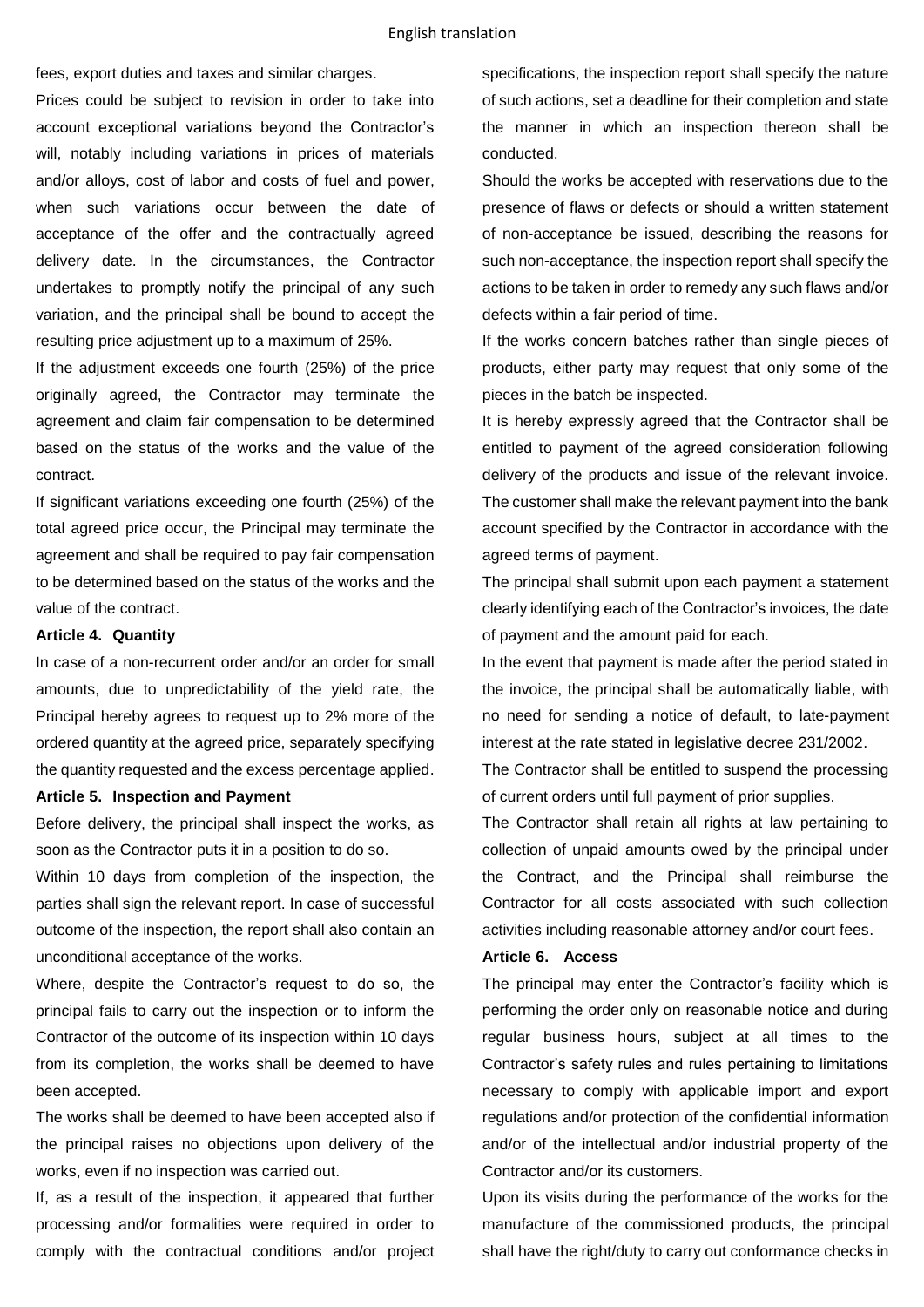fees, export duties and taxes and similar charges.

Prices could be subject to revision in order to take into account exceptional variations beyond the Contractor's will, notably including variations in prices of materials and/or alloys, cost of labor and costs of fuel and power, when such variations occur between the date of acceptance of the offer and the contractually agreed delivery date. In the circumstances, the Contractor undertakes to promptly notify the principal of any such variation, and the principal shall be bound to accept the resulting price adjustment up to a maximum of 25%.

If the adjustment exceeds one fourth (25%) of the price originally agreed, the Contractor may terminate the agreement and claim fair compensation to be determined based on the status of the works and the value of the contract.

If significant variations exceeding one fourth (25%) of the total agreed price occur, the Principal may terminate the agreement and shall be required to pay fair compensation to be determined based on the status of the works and the value of the contract.

### **Article 4. Quantity**

In case of a non-recurrent order and/or an order for small amounts, due to unpredictability of the yield rate, the Principal hereby agrees to request up to 2% more of the ordered quantity at the agreed price, separately specifying the quantity requested and the excess percentage applied.

### **Article 5. Inspection and Payment**

Before delivery, the principal shall inspect the works, as soon as the Contractor puts it in a position to do so.

Within 10 days from completion of the inspection, the parties shall sign the relevant report. In case of successful outcome of the inspection, the report shall also contain an unconditional acceptance of the works.

Where, despite the Contractor's request to do so, the principal fails to carry out the inspection or to inform the Contractor of the outcome of its inspection within 10 days from its completion, the works shall be deemed to have been accepted.

The works shall be deemed to have been accepted also if the principal raises no objections upon delivery of the works, even if no inspection was carried out.

If, as a result of the inspection, it appeared that further processing and/or formalities were required in order to comply with the contractual conditions and/or project

specifications, the inspection report shall specify the nature of such actions, set a deadline for their completion and state the manner in which an inspection thereon shall be conducted.

Should the works be accepted with reservations due to the presence of flaws or defects or should a written statement of non-acceptance be issued, describing the reasons for such non-acceptance, the inspection report shall specify the actions to be taken in order to remedy any such flaws and/or defects within a fair period of time.

If the works concern batches rather than single pieces of products, either party may request that only some of the pieces in the batch be inspected.

It is hereby expressly agreed that the Contractor shall be entitled to payment of the agreed consideration following delivery of the products and issue of the relevant invoice. The customer shall make the relevant payment into the bank account specified by the Contractor in accordance with the agreed terms of payment.

The principal shall submit upon each payment a statement clearly identifying each of the Contractor's invoices, the date of payment and the amount paid for each.

In the event that payment is made after the period stated in the invoice, the principal shall be automatically liable, with no need for sending a notice of default, to late-payment interest at the rate stated in legislative decree 231/2002.

The Contractor shall be entitled to suspend the processing of current orders until full payment of prior supplies.

The Contractor shall retain all rights at law pertaining to collection of unpaid amounts owed by the principal under the Contract, and the Principal shall reimburse the Contractor for all costs associated with such collection activities including reasonable attorney and/or court fees.

### **Article 6. Access**

The principal may enter the Contractor's facility which is performing the order only on reasonable notice and during regular business hours, subject at all times to the Contractor's safety rules and rules pertaining to limitations necessary to comply with applicable import and export regulations and/or protection of the confidential information and/or of the intellectual and/or industrial property of the Contractor and/or its customers.

Upon its visits during the performance of the works for the manufacture of the commissioned products, the principal shall have the right/duty to carry out conformance checks in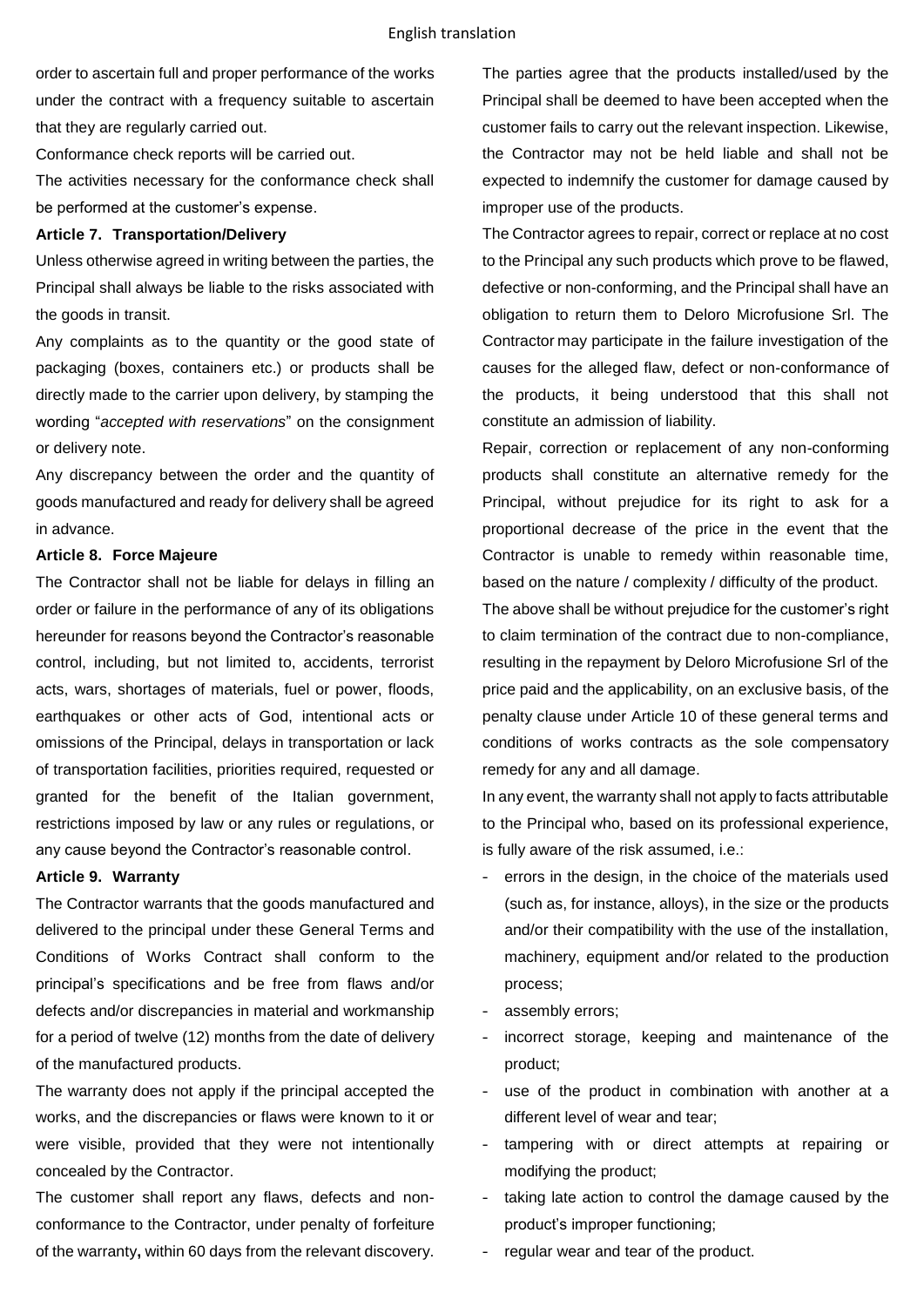order to ascertain full and proper performance of the works under the contract with a frequency suitable to ascertain that they are regularly carried out.

Conformance check reports will be carried out. The activities necessary for the conformance check shall be performed at the customer's expense.

#### **Article 7. Transportation/Delivery**

Unless otherwise agreed in writing between the parties, the Principal shall always be liable to the risks associated with the goods in transit.

Any complaints as to the quantity or the good state of packaging (boxes, containers etc.) or products shall be directly made to the carrier upon delivery, by stamping the wording "*accepted with reservations*" on the consignment or delivery note.

Any discrepancy between the order and the quantity of goods manufactured and ready for delivery shall be agreed in advance.

### **Article 8. Force Majeure**

The Contractor shall not be liable for delays in filling an order or failure in the performance of any of its obligations hereunder for reasons beyond the Contractor's reasonable control, including, but not limited to, accidents, terrorist acts, wars, shortages of materials, fuel or power, floods, earthquakes or other acts of God, intentional acts or omissions of the Principal, delays in transportation or lack of transportation facilities, priorities required, requested or granted for the benefit of the Italian government, restrictions imposed by law or any rules or regulations, or any cause beyond the Contractor's reasonable control.

## **Article 9. Warranty**

The Contractor warrants that the goods manufactured and delivered to the principal under these General Terms and Conditions of Works Contract shall conform to the principal's specifications and be free from flaws and/or defects and/or discrepancies in material and workmanship for a period of twelve (12) months from the date of delivery of the manufactured products.

The warranty does not apply if the principal accepted the works, and the discrepancies or flaws were known to it or were visible, provided that they were not intentionally concealed by the Contractor.

The customer shall report any flaws, defects and nonconformance to the Contractor, under penalty of forfeiture of the warranty**,** within 60 days from the relevant discovery. The parties agree that the products installed/used by the Principal shall be deemed to have been accepted when the customer fails to carry out the relevant inspection. Likewise, the Contractor may not be held liable and shall not be expected to indemnify the customer for damage caused by improper use of the products.

The Contractor agrees to repair, correct or replace at no cost to the Principal any such products which prove to be flawed, defective or non-conforming, and the Principal shall have an obligation to return them to Deloro Microfusione Srl. The Contractor may participate in the failure investigation of the causes for the alleged flaw, defect or non-conformance of the products, it being understood that this shall not constitute an admission of liability.

Repair, correction or replacement of any non-conforming products shall constitute an alternative remedy for the Principal, without prejudice for its right to ask for a proportional decrease of the price in the event that the Contractor is unable to remedy within reasonable time, based on the nature / complexity / difficulty of the product.

The above shall be without prejudice for the customer's right to claim termination of the contract due to non-compliance, resulting in the repayment by Deloro Microfusione Srl of the price paid and the applicability, on an exclusive basis, of the penalty clause under Article 10 of these general terms and conditions of works contracts as the sole compensatory remedy for any and all damage.

In any event, the warranty shall not apply to facts attributable to the Principal who, based on its professional experience, is fully aware of the risk assumed, i.e.:

- errors in the design, in the choice of the materials used (such as, for instance, alloys), in the size or the products and/or their compatibility with the use of the installation, machinery, equipment and/or related to the production process;
- assembly errors;
- incorrect storage, keeping and maintenance of the product;
- use of the product in combination with another at a different level of wear and tear;
- tampering with or direct attempts at repairing or modifying the product;
- taking late action to control the damage caused by the product's improper functioning;
- regular wear and tear of the product.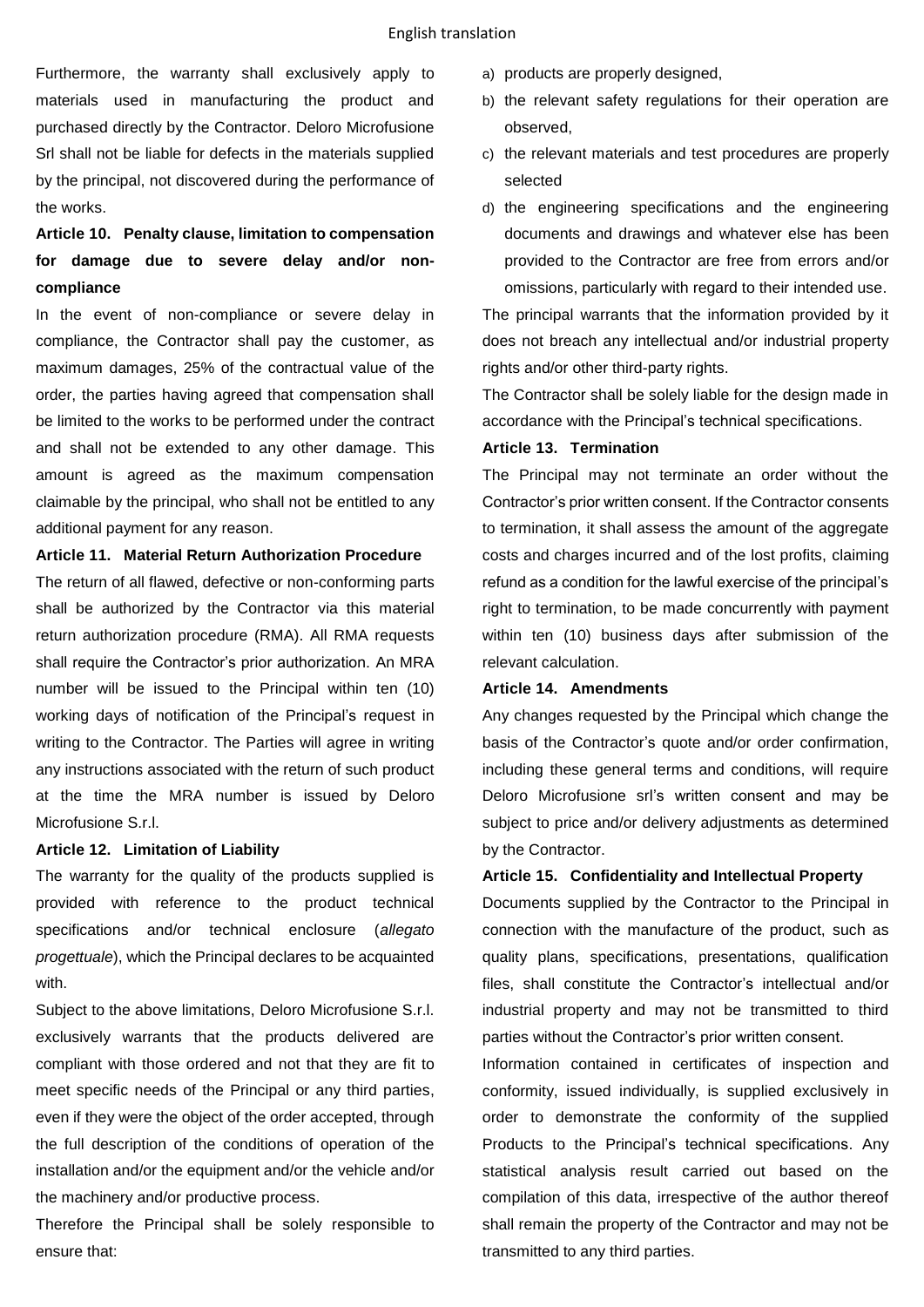Furthermore, the warranty shall exclusively apply to materials used in manufacturing the product and purchased directly by the Contractor. Deloro Microfusione Srl shall not be liable for defects in the materials supplied by the principal, not discovered during the performance of the works.

# **Article 10. Penalty clause, limitation to compensation for damage due to severe delay and/or noncompliance**

In the event of non-compliance or severe delay in compliance, the Contractor shall pay the customer, as maximum damages, 25% of the contractual value of the order, the parties having agreed that compensation shall be limited to the works to be performed under the contract and shall not be extended to any other damage. This amount is agreed as the maximum compensation claimable by the principal, who shall not be entitled to any additional payment for any reason.

## **Article 11. Material Return Authorization Procedure**

The return of all flawed, defective or non-conforming parts shall be authorized by the Contractor via this material return authorization procedure (RMA). All RMA requests shall require the Contractor's prior authorization. An MRA number will be issued to the Principal within ten (10) working days of notification of the Principal's request in writing to the Contractor. The Parties will agree in writing any instructions associated with the return of such product at the time the MRA number is issued by Deloro Microfusione S.r.l.

### **Article 12. Limitation of Liability**

The warranty for the quality of the products supplied is provided with reference to the product technical specifications and/or technical enclosure (*allegato progettuale*), which the Principal declares to be acquainted with.

Subject to the above limitations, Deloro Microfusione S.r.l. exclusively warrants that the products delivered are compliant with those ordered and not that they are fit to meet specific needs of the Principal or any third parties, even if they were the object of the order accepted, through the full description of the conditions of operation of the installation and/or the equipment and/or the vehicle and/or the machinery and/or productive process.

Therefore the Principal shall be solely responsible to ensure that:

- a) products are properly designed,
- b) the relevant safety regulations for their operation are observed,
- c) the relevant materials and test procedures are properly selected
- d) the engineering specifications and the engineering documents and drawings and whatever else has been provided to the Contractor are free from errors and/or omissions, particularly with regard to their intended use.

The principal warrants that the information provided by it does not breach any intellectual and/or industrial property rights and/or other third-party rights.

The Contractor shall be solely liable for the design made in accordance with the Principal's technical specifications.

### **Article 13. Termination**

The Principal may not terminate an order without the Contractor's prior written consent. If the Contractor consents to termination, it shall assess the amount of the aggregate costs and charges incurred and of the lost profits, claiming refund as a condition for the lawful exercise of the principal's right to termination, to be made concurrently with payment within ten (10) business days after submission of the relevant calculation.

## **Article 14. Amendments**

Any changes requested by the Principal which change the basis of the Contractor's quote and/or order confirmation, including these general terms and conditions, will require Deloro Microfusione srl's written consent and may be subject to price and/or delivery adjustments as determined by the Contractor.

## **Article 15. Confidentiality and Intellectual Property**

Documents supplied by the Contractor to the Principal in connection with the manufacture of the product, such as quality plans, specifications, presentations, qualification files, shall constitute the Contractor's intellectual and/or industrial property and may not be transmitted to third parties without the Contractor's prior written consent.

Information contained in certificates of inspection and conformity, issued individually, is supplied exclusively in order to demonstrate the conformity of the supplied Products to the Principal's technical specifications. Any statistical analysis result carried out based on the compilation of this data, irrespective of the author thereof shall remain the property of the Contractor and may not be transmitted to any third parties.